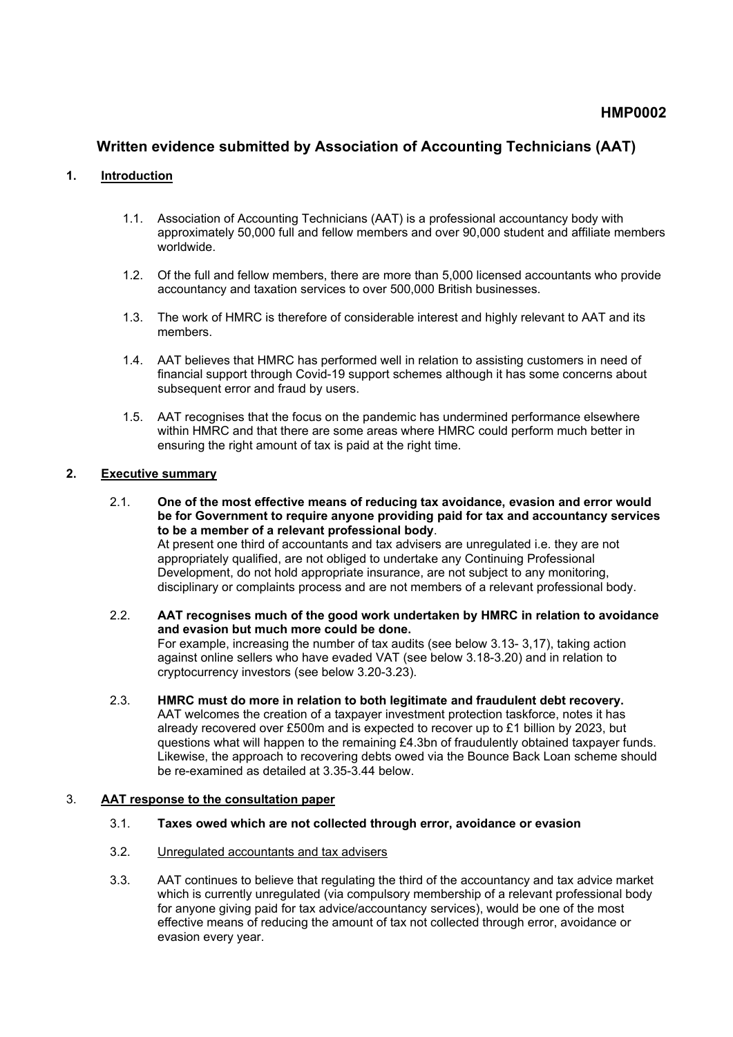# **Written evidence submitted by Association of Accounting Technicians (AAT)**

#### **1. Introduction**

- 1.1. Association of Accounting Technicians (AAT) is a professional accountancy body with approximately 50,000 full and fellow members and over 90,000 student and affiliate members worldwide.
- 1.2. Of the full and fellow members, there are more than 5,000 licensed accountants who provide accountancy and taxation services to over 500,000 British businesses.
- 1.3. The work of HMRC is therefore of considerable interest and highly relevant to AAT and its members.
- 1.4. AAT believes that HMRC has performed well in relation to assisting customers in need of financial support through Covid-19 support schemes although it has some concerns about subsequent error and fraud by users.
- 1.5. AAT recognises that the focus on the pandemic has undermined performance elsewhere within HMRC and that there are some areas where HMRC could perform much better in ensuring the right amount of tax is paid at the right time.

#### **2. Executive summary**

- 2.1. **One of the most effective means of reducing tax avoidance, evasion and error would be for Government to require anyone providing paid for tax and accountancy services to be a member of a relevant professional body**. At present one third of accountants and tax advisers are unregulated i.e. they are not appropriately qualified, are not obliged to undertake any Continuing Professional Development, do not hold appropriate insurance, are not subject to any monitoring, disciplinary or complaints process and are not members of a relevant professional body.
- 2.2. **AAT recognises much of the good work undertaken by HMRC in relation to avoidance and evasion but much more could be done.** For example, increasing the number of tax audits (see below 3.13- 3,17), taking action against online sellers who have evaded VAT (see below 3.18-3.20) and in relation to cryptocurrency investors (see below 3.20-3.23).
- 2.3. **HMRC must do more in relation to both legitimate and fraudulent debt recovery.** AAT welcomes the creation of a taxpayer investment protection taskforce, notes it has already recovered over £500m and is expected to recover up to £1 billion by 2023, but questions what will happen to the remaining £4.3bn of fraudulently obtained taxpayer funds. Likewise, the approach to recovering debts owed via the Bounce Back Loan scheme should be re-examined as detailed at 3.35-3.44 below.

# 3. **AAT response to the consultation paper**

- 3.1. **Taxes owed which are not collected through error, avoidance or evasion**
- 3.2. Unregulated accountants and tax advisers
- 3.3. AAT continues to believe that regulating the third of the accountancy and tax advice market which is currently unregulated (via compulsory membership of a relevant professional body for anyone giving paid for tax advice/accountancy services), would be one of the most effective means of reducing the amount of tax not collected through error, avoidance or evasion every year.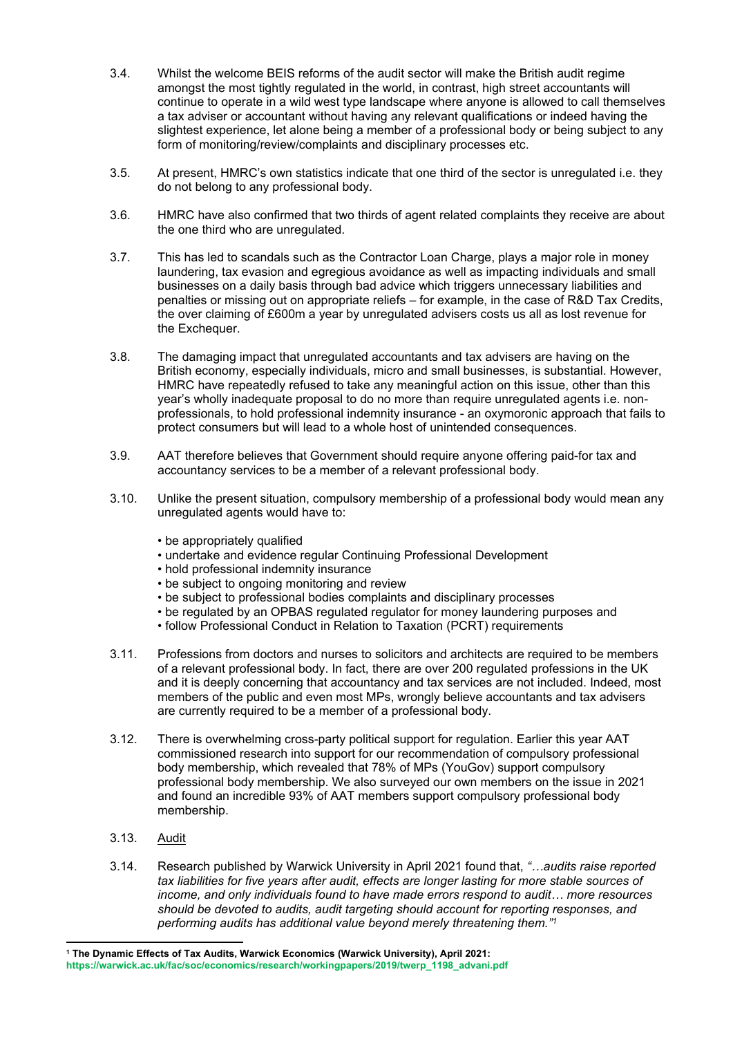- 3.4. Whilst the welcome BEIS reforms of the audit sector will make the British audit regime amongst the most tightly regulated in the world, in contrast, high street accountants will continue to operate in a wild west type landscape where anyone is allowed to call themselves a tax adviser or accountant without having any relevant qualifications or indeed having the slightest experience, let alone being a member of a professional body or being subject to any form of monitoring/review/complaints and disciplinary processes etc.
- 3.5. At present, HMRC's own statistics indicate that one third of the sector is unregulated i.e. they do not belong to any professional body.
- 3.6. HMRC have also confirmed that two thirds of agent related complaints they receive are about the one third who are unregulated.
- 3.7. This has led to scandals such as the Contractor Loan Charge, plays a major role in money laundering, tax evasion and egregious avoidance as well as impacting individuals and small businesses on a daily basis through bad advice which triggers unnecessary liabilities and penalties or missing out on appropriate reliefs – for example, in the case of R&D Tax Credits, the over claiming of £600m a year by unregulated advisers costs us all as lost revenue for the Exchequer.
- 3.8. The damaging impact that unregulated accountants and tax advisers are having on the British economy, especially individuals, micro and small businesses, is substantial. However, HMRC have repeatedly refused to take any meaningful action on this issue, other than this year's wholly inadequate proposal to do no more than require unregulated agents i.e. nonprofessionals, to hold professional indemnity insurance - an oxymoronic approach that fails to protect consumers but will lead to a whole host of unintended consequences.
- 3.9. AAT therefore believes that Government should require anyone offering paid-for tax and accountancy services to be a member of a relevant professional body.
- 3.10. Unlike the present situation, compulsory membership of a professional body would mean any unregulated agents would have to:
	- be appropriately qualified
	- undertake and evidence regular Continuing Professional Development
	- hold professional indemnity insurance
	- be subject to ongoing monitoring and review
	- be subject to professional bodies complaints and disciplinary processes
	- be regulated by an OPBAS regulated regulator for money laundering purposes and
	- follow Professional Conduct in Relation to Taxation (PCRT) requirements
- 3.11. Professions from doctors and nurses to solicitors and architects are required to be members of a relevant professional body. In fact, there are over 200 regulated professions in the UK and it is deeply concerning that accountancy and tax services are not included. Indeed, most members of the public and even most MPs, wrongly believe accountants and tax advisers are currently required to be a member of a professional body.
- 3.12. There is overwhelming cross-party political support for regulation. Earlier this year AAT commissioned research into support for our recommendation of compulsory professional body membership, which revealed that 78% of MPs (YouGov) support compulsory professional body membership. We also surveyed our own members on the issue in 2021 and found an incredible 93% of AAT members support compulsory professional body membership.
- 3.13. Audit
- 3.14. Research published by Warwick University in April 2021 found that, *"…audits raise reported tax liabilities for five years after audit, effects are longer lasting for more stable sources of income, and only individuals found to have made errors respond to audit… more resources should be devoted to audits, audit targeting should account for reporting responses, and performing audits has additional value beyond merely threatening them."<sup>1</sup>*

**<sup>1</sup> The Dynamic Effects of Tax Audits, Warwick Economics (Warwick University), April 2021:**

**[https://warwick.ac.uk/fac/soc/economics/research/workingpapers/2019/twerp\\_1198\\_advani.pdf](https://warwick.ac.uk/fac/soc/economics/research/workingpapers/2019/twerp_1198_advani.pdf)**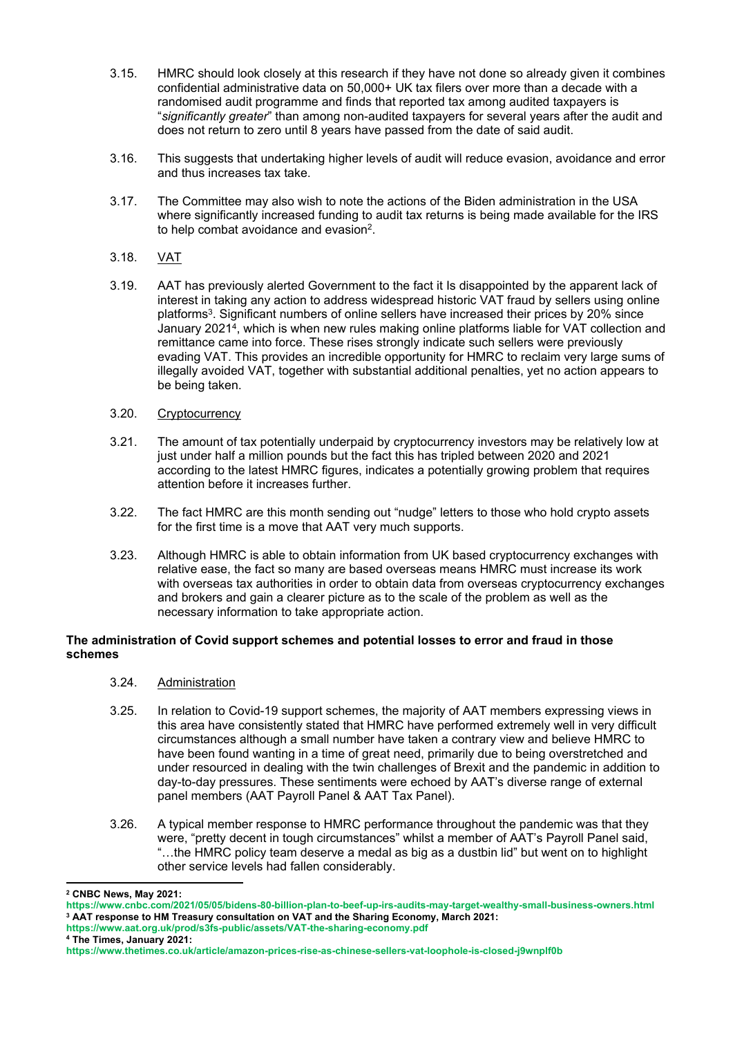- 3.15. HMRC should look closely at this research if they have not done so already given it combines confidential administrative data on 50,000+ UK tax filers over more than a decade with a randomised audit programme and finds that reported tax among audited taxpayers is "*significantly greater*" than among non-audited taxpayers for several years after the audit and does not return to zero until 8 years have passed from the date of said audit.
- 3.16. This suggests that undertaking higher levels of audit will reduce evasion, avoidance and error and thus increases tax take.
- 3.17. The Committee may also wish to note the actions of the Biden administration in the USA where significantly increased funding to audit tax returns is being made available for the IRS to help combat avoidance and evasion<sup>2</sup>.
- 3.18. VAT
- 3.19. AAT has previously alerted Government to the fact it Is disappointed by the apparent lack of interest in taking any action to address widespread historic VAT fraud by sellers using online platforms<sup>3</sup>. Significant numbers of online sellers have increased their prices by 20% since January 2021<sup>4</sup> , which is when new rules making online platforms liable for VAT collection and remittance came into force. These rises strongly indicate such sellers were previously evading VAT. This provides an incredible opportunity for HMRC to reclaim very large sums of illegally avoided VAT, together with substantial additional penalties, yet no action appears to be being taken.
- 3.20. Cryptocurrency
- 3.21. The amount of tax potentially underpaid by cryptocurrency investors may be relatively low at just under half a million pounds but the fact this has tripled between 2020 and 2021 according to the latest HMRC figures, indicates a potentially growing problem that requires attention before it increases further.
- 3.22. The fact HMRC are this month sending out "nudge" letters to those who hold crypto assets for the first time is a move that AAT very much supports.
- 3.23. Although HMRC is able to obtain information from UK based cryptocurrency exchanges with relative ease, the fact so many are based overseas means HMRC must increase its work with overseas tax authorities in order to obtain data from overseas cryptocurrency exchanges and brokers and gain a clearer picture as to the scale of the problem as well as the necessary information to take appropriate action.

## **The administration of Covid support schemes and potential losses to error and fraud in those schemes**

- 3.24. Administration
- 3.25. In relation to Covid-19 support schemes, the majority of AAT members expressing views in this area have consistently stated that HMRC have performed extremely well in very difficult circumstances although a small number have taken a contrary view and believe HMRC to have been found wanting in a time of great need, primarily due to being overstretched and under resourced in dealing with the twin challenges of Brexit and the pandemic in addition to day-to-day pressures. These sentiments were echoed by AAT's diverse range of external panel members (AAT Payroll Panel & AAT Tax Panel).
- 3.26. A typical member response to HMRC performance throughout the pandemic was that they were, "pretty decent in tough circumstances" whilst a member of AAT's Payroll Panel said, "…the HMRC policy team deserve a medal as big as a dustbin lid" but went on to highlight other service levels had fallen considerably.

**<https://www.aat.org.uk/prod/s3fs-public/assets/VAT-the-sharing-economy.pdf>**

**<sup>4</sup> The Times, January 2021:**

**<sup>2</sup> CNBC News, May 2021:**

**<https://www.cnbc.com/2021/05/05/bidens-80-billion-plan-to-beef-up-irs-audits-may-target-wealthy-small-business-owners.html> <sup>3</sup> AAT response to HM Treasury consultation on VAT and the Sharing Economy, March 2021:**

**<https://www.thetimes.co.uk/article/amazon-prices-rise-as-chinese-sellers-vat-loophole-is-closed-j9wnplf0b>**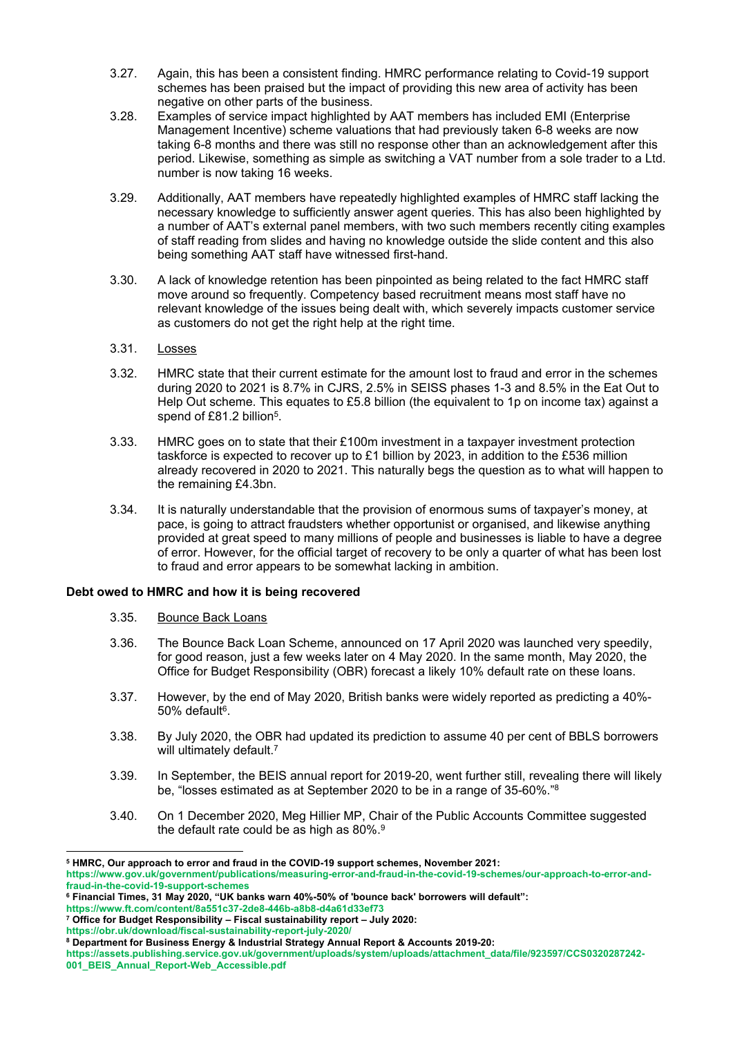- 3.27. Again, this has been a consistent finding. HMRC performance relating to Covid-19 support schemes has been praised but the impact of providing this new area of activity has been negative on other parts of the business.
- 3.28. Examples of service impact highlighted by AAT members has included EMI (Enterprise Management Incentive) scheme valuations that had previously taken 6-8 weeks are now taking 6-8 months and there was still no response other than an acknowledgement after this period. Likewise, something as simple as switching a VAT number from a sole trader to a Ltd. number is now taking 16 weeks.
- 3.29. Additionally, AAT members have repeatedly highlighted examples of HMRC staff lacking the necessary knowledge to sufficiently answer agent queries. This has also been highlighted by a number of AAT's external panel members, with two such members recently citing examples of staff reading from slides and having no knowledge outside the slide content and this also being something AAT staff have witnessed first-hand.
- 3.30. A lack of knowledge retention has been pinpointed as being related to the fact HMRC staff move around so frequently. Competency based recruitment means most staff have no relevant knowledge of the issues being dealt with, which severely impacts customer service as customers do not get the right help at the right time.
- 3.31. Losses
- 3.32. HMRC state that their current estimate for the amount lost to fraud and error in the schemes during 2020 to 2021 is 8.7% in CJRS, 2.5% in SEISS phases 1-3 and 8.5% in the Eat Out to Help Out scheme. This equates to £5.8 billion (the equivalent to 1p on income tax) against a spend of £81.2 billion<sup>5</sup>.
- 3.33. HMRC goes on to state that their £100m investment in a taxpayer investment protection taskforce is expected to recover up to £1 billion by 2023, in addition to the £536 million already recovered in 2020 to 2021. This naturally begs the question as to what will happen to the remaining £4.3bn.
- 3.34. It is naturally understandable that the provision of enormous sums of taxpayer's money, at pace, is going to attract fraudsters whether opportunist or organised, and likewise anything provided at great speed to many millions of people and businesses is liable to have a degree of error. However, for the official target of recovery to be only a quarter of what has been lost to fraud and error appears to be somewhat lacking in ambition.

## **Debt owed to HMRC and how it is being recovered**

- 3.35. Bounce Back Loans
- 3.36. The Bounce Back Loan Scheme, announced on 17 April 2020 was launched very speedily, for good reason, just a few weeks later on 4 May 2020. In the same month, May 2020, the Office for Budget Responsibility (OBR) forecast a likely 10% default rate on these loans.
- 3.37. However, by the end of May 2020, British banks were widely reported as predicting a 40%- 50% default<sup>6</sup>.
- 3.38. By July 2020, the OBR had updated its prediction to assume 40 per cent of BBLS borrowers will ultimately default.<sup>7</sup>
- 3.39. In September, the BEIS annual report for 2019-20, went further still, revealing there will likely be, "losses estimated as at September 2020 to be in a range of 35-60%."<sup>8</sup>
- 3.40. On 1 December 2020, Meg Hillier MP, Chair of the Public Accounts Committee suggested the default rate could be as high as 80%.<sup>9</sup>

**<sup>5</sup> HMRC, Our approach to error and fraud in the COVID-19 support schemes, November 2021:**

**[https://www.gov.uk/government/publications/measuring-error-and-fraud-in-the-covid-19-schemes/our-approach-to-error-and](https://www.gov.uk/government/publications/measuring-error-and-fraud-in-the-covid-19-schemes/our-approach-to-error-and-fraud-in-the-covid-19-support-schemes)[fraud-in-the-covid-19-support-schemes](https://www.gov.uk/government/publications/measuring-error-and-fraud-in-the-covid-19-schemes/our-approach-to-error-and-fraud-in-the-covid-19-support-schemes)**

**<sup>6</sup> Financial Times, 31 May 2020, "UK banks warn 40%-50% of 'bounce back' borrowers will default":**

**<https://www.ft.com/content/8a551c37-2de8-446b-a8b8-d4a61d33ef73>**

**<sup>7</sup> Office for Budget Responsibility – Fiscal sustainability report – July 2020:**

**<https://obr.uk/download/fiscal-sustainability-report-july-2020/> <sup>8</sup> Department for Business Energy & Industrial Strategy Annual Report & Accounts 2019-20:**

**[https://assets.publishing.service.gov.uk/government/uploads/system/uploads/attachment\\_data/file/923597/CCS0320287242-](https://assets.publishing.service.gov.uk/government/uploads/system/uploads/attachment_data/file/923597/CCS0320287242-001_BEIS_Annual_Report-Web_Accessible.pdf) [001\\_BEIS\\_Annual\\_Report-Web\\_Accessible.pdf](https://assets.publishing.service.gov.uk/government/uploads/system/uploads/attachment_data/file/923597/CCS0320287242-001_BEIS_Annual_Report-Web_Accessible.pdf)**